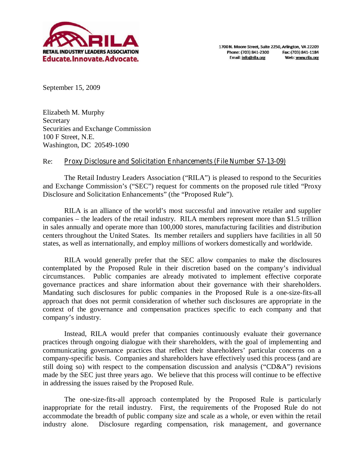

September 15, 2009

Elizabeth M. Murphy Secretary Securities and Exchange Commission 100 F Street, N.E. Washington, DC 20549-1090

# Re: **Proxy Disclosure and Solicitation Enhancements (File Number S7-13-09)**

 The Retail Industry Leaders Association ("RILA") is pleased to respond to the Securities and Exchange Commission's ("SEC") request for comments on the proposed rule titled "Proxy Disclosure and Solicitation Enhancements" (the "Proposed Rule").

 RILA is an alliance of the world's most successful and innovative retailer and supplier companies – the leaders of the retail industry. RILA members represent more than \$1.5 trillion in sales annually and operate more than 100,000 stores, manufacturing facilities and distribution centers throughout the United States. Its member retailers and suppliers have facilities in all 50 states, as well as internationally, and employ millions of workers domestically and worldwide.

 RILA would generally prefer that the SEC allow companies to make the disclosures contemplated by the Proposed Rule in their discretion based on the company's individual circumstances. Public companies are already motivated to implement effective corporate governance practices and share information about their governance with their shareholders. Mandating such disclosures for public companies in the Proposed Rule is a one-size-fits-all approach that does not permit consideration of whether such disclosures are appropriate in the context of the governance and compensation practices specific to each company and that company's industry.

Instead, RILA would prefer that companies continuously evaluate their governance practices through ongoing dialogue with their shareholders, with the goal of implementing and communicating governance practices that reflect their shareholders' particular concerns on a company-specific basis. Companies and shareholders have effectively used this process (and are still doing so) with respect to the compensation discussion and analysis ("CD&A") revisions made by the SEC just three years ago. We believe that this process will continue to be effective in addressing the issues raised by the Proposed Rule.

 The one-size-fits-all approach contemplated by the Proposed Rule is particularly inappropriate for the retail industry. First, the requirements of the Proposed Rule do not accommodate the breadth of public company size and scale as a whole, or even within the retail industry alone. Disclosure regarding compensation, risk management, and governance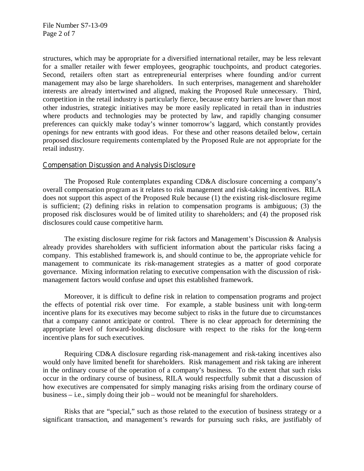File Number S7-13-09 Page 2 of 7

structures, which may be appropriate for a diversified international retailer, may be less relevant for a smaller retailer with fewer employees, geographic touchpoints, and product categories. Second, retailers often start as entrepreneurial enterprises where founding and/or current management may also be large shareholders. In such enterprises, management and shareholder interests are already intertwined and aligned, making the Proposed Rule unnecessary. Third, competition in the retail industry is particularly fierce, because entry barriers are lower than most other industries, strategic initiatives may be more easily replicated in retail than in industries where products and technologies may be protected by law, and rapidly changing consumer preferences can quickly make today's winner tomorrow's laggard, which constantly provides openings for new entrants with good ideas. For these and other reasons detailed below, certain proposed disclosure requirements contemplated by the Proposed Rule are not appropriate for the retail industry.

### **Compensation Discussion and Analysis Disclosure**

 The Proposed Rule contemplates expanding CD&A disclosure concerning a company's overall compensation program as it relates to risk management and risk-taking incentives. RILA does not support this aspect of the Proposed Rule because (1) the existing risk-disclosure regime is sufficient; (2) defining risks in relation to compensation programs is ambiguous; (3) the proposed risk disclosures would be of limited utility to shareholders; and (4) the proposed risk disclosures could cause competitive harm.

 The existing disclosure regime for risk factors and Management's Discussion & Analysis already provides shareholders with sufficient information about the particular risks facing a company. This established framework is, and should continue to be, the appropriate vehicle for management to communicate its risk-management strategies as a matter of good corporate governance. Mixing information relating to executive compensation with the discussion of riskmanagement factors would confuse and upset this established framework.

 Moreover, it is difficult to define risk in relation to compensation programs and project the effects of potential risk over time. For example, a stable business unit with long-term incentive plans for its executives may become subject to risks in the future due to circumstances that a company cannot anticipate or control. There is no clear approach for determining the appropriate level of forward-looking disclosure with respect to the risks for the long-term incentive plans for such executives.

 Requiring CD&A disclosure regarding risk-management and risk-taking incentives also would only have limited benefit for shareholders. Risk management and risk taking are inherent in the ordinary course of the operation of a company's business. To the extent that such risks occur in the ordinary course of business, RILA would respectfully submit that a discussion of how executives are compensated for simply managing risks arising from the ordinary course of business – i.e., simply doing their job – would not be meaningful for shareholders.

 Risks that are "special," such as those related to the execution of business strategy or a significant transaction, and management's rewards for pursuing such risks, are justifiably of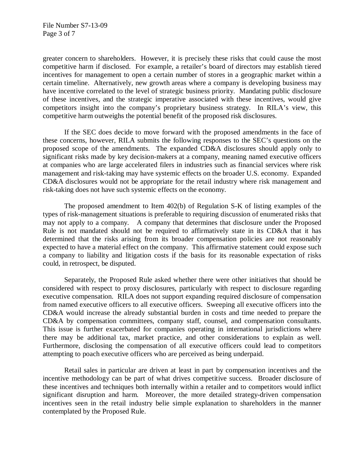greater concern to shareholders. However, it is precisely these risks that could cause the most competitive harm if disclosed. For example, a retailer's board of directors may establish tiered incentives for management to open a certain number of stores in a geographic market within a certain timeline. Alternatively, new growth areas where a company is developing business may have incentive correlated to the level of strategic business priority. Mandating public disclosure of these incentives, and the strategic imperative associated with these incentives, would give competitors insight into the company's proprietary business strategy. In RILA's view, this competitive harm outweighs the potential benefit of the proposed risk disclosures.

 If the SEC does decide to move forward with the proposed amendments in the face of these concerns, however, RILA submits the following responses to the SEC's questions on the proposed scope of the amendments. The expanded CD&A disclosures should apply only to significant risks made by key decision-makers at a company, meaning named executive officers at companies who are large accelerated filers in industries such as financial services where risk management and risk-taking may have systemic effects on the broader U.S. economy. Expanded CD&A disclosures would not be appropriate for the retail industry where risk management and risk-taking does not have such systemic effects on the economy.

 The proposed amendment to Item 402(b) of Regulation S-K of listing examples of the types of risk-management situations is preferable to requiring discussion of enumerated risks that may not apply to a company. A company that determines that disclosure under the Proposed Rule is not mandated should not be required to affirmatively state in its CD&A that it has determined that the risks arising from its broader compensation policies are not reasonably expected to have a material effect on the company. This affirmative statement could expose such a company to liability and litigation costs if the basis for its reasonable expectation of risks could, in retrospect, be disputed.

 Separately, the Proposed Rule asked whether there were other initiatives that should be considered with respect to proxy disclosures, particularly with respect to disclosure regarding executive compensation. RILA does not support expanding required disclosure of compensation from named executive officers to all executive officers. Sweeping all executive officers into the CD&A would increase the already substantial burden in costs and time needed to prepare the CD&A by compensation committees, company staff, counsel, and compensation consultants. This issue is further exacerbated for companies operating in international jurisdictions where there may be additional tax, market practice, and other considerations to explain as well. Furthermore, disclosing the compensation of all executive officers could lead to competitors attempting to poach executive officers who are perceived as being underpaid.

 Retail sales in particular are driven at least in part by compensation incentives and the incentive methodology can be part of what drives competitive success. Broader disclosure of these incentives and techniques both internally within a retailer and to competitors would inflict significant disruption and harm. Moreover, the more detailed strategy-driven compensation incentives seen in the retail industry belie simple explanation to shareholders in the manner contemplated by the Proposed Rule.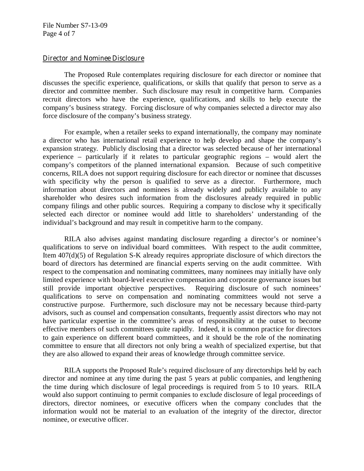File Number S7-13-09 Page 4 of 7

### **Director and Nominee Disclosure**

 The Proposed Rule contemplates requiring disclosure for each director or nominee that discusses the specific experience, qualifications, or skills that qualify that person to serve as a director and committee member. Such disclosure may result in competitive harm. Companies recruit directors who have the experience, qualifications, and skills to help execute the company's business strategy. Forcing disclosure of why companies selected a director may also force disclosure of the company's business strategy.

 For example, when a retailer seeks to expand internationally, the company may nominate a director who has international retail experience to help develop and shape the company's expansion strategy. Publicly disclosing that a director was selected because of her international experience – particularly if it relates to particular geographic regions – would alert the company's competitors of the planned international expansion. Because of such competitive concerns, RILA does not support requiring disclosure for each director or nominee that discusses with specificity why the person is qualified to serve as a director. Furthermore, much information about directors and nominees is already widely and publicly available to any shareholder who desires such information from the disclosures already required in public company filings and other public sources. Requiring a company to disclose why it specifically selected each director or nominee would add little to shareholders' understanding of the individual's background and may result in competitive harm to the company.

 RILA also advises against mandating disclosure regarding a director's or nominee's qualifications to serve on individual board committees. With respect to the audit committee, Item 407(d)(5) of Regulation S-K already requires appropriate disclosure of which directors the board of directors has determined are financial experts serving on the audit committee. With respect to the compensation and nominating committees, many nominees may initially have only limited experience with board-level executive compensation and corporate governance issues but still provide important objective perspectives. Requiring disclosure of such nominees' qualifications to serve on compensation and nominating committees would not serve a constructive purpose. Furthermore, such disclosure may not be necessary because third-party advisors, such as counsel and compensation consultants, frequently assist directors who may not have particular expertise in the committee's areas of responsibility at the outset to become effective members of such committees quite rapidly. Indeed, it is common practice for directors to gain experience on different board committees, and it should be the role of the nominating committee to ensure that all directors not only bring a wealth of specialized expertise, but that they are also allowed to expand their areas of knowledge through committee service.

 RILA supports the Proposed Rule's required disclosure of any directorships held by each director and nominee at any time during the past 5 years at public companies, and lengthening the time during which disclosure of legal proceedings is required from 5 to 10 years. RILA would also support continuing to permit companies to exclude disclosure of legal proceedings of directors, director nominees, or executive officers when the company concludes that the information would not be material to an evaluation of the integrity of the director, director nominee, or executive officer.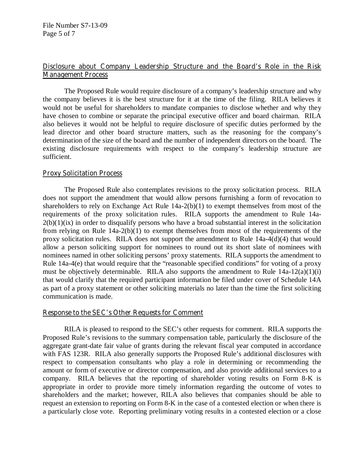# **Disclosure about Company Leadership Structure and the Board's Role in the Risk Management Process**

 The Proposed Rule would require disclosure of a company's leadership structure and why the company believes it is the best structure for it at the time of the filing. RILA believes it would not be useful for shareholders to mandate companies to disclose whether and why they have chosen to combine or separate the principal executive officer and board chairman. RILA also believes it would not be helpful to require disclosure of specific duties performed by the lead director and other board structure matters, such as the reasoning for the company's determination of the size of the board and the number of independent directors on the board. The existing disclosure requirements with respect to the company's leadership structure are sufficient.

# **Proxy Solicitation Process**

 The Proposed Rule also contemplates revisions to the proxy solicitation process. RILA does not support the amendment that would allow persons furnishing a form of revocation to shareholders to rely on Exchange Act Rule 14a-2(b)(1) to exempt themselves from most of the requirements of the proxy solicitation rules. RILA supports the amendment to Rule 14a- $2(b)(1)(ix)$  in order to disqualify persons who have a broad substantial interest in the solicitation from relying on Rule 14a-2(b)(1) to exempt themselves from most of the requirements of the proxy solicitation rules. RILA does not support the amendment to Rule 14a-4(d)(4) that would allow a person soliciting support for nominees to round out its short slate of nominees with nominees named in other soliciting persons' proxy statements. RILA supports the amendment to Rule 14a-4(e) that would require that the "reasonable specified conditions" for voting of a proxy must be objectively determinable. RILA also supports the amendment to Rule  $14a-12(a)(1)(i)$ that would clarify that the required participant information be filed under cover of Schedule 14A as part of a proxy statement or other soliciting materials no later than the time the first soliciting communication is made.

## **Response to the SEC's Other Requests for Comment**

 RILA is pleased to respond to the SEC's other requests for comment. RILA supports the Proposed Rule's revisions to the summary compensation table, particularly the disclosure of the aggregate grant-date fair value of grants during the relevant fiscal year computed in accordance with FAS 123R. RILA also generally supports the Proposed Rule's additional disclosures with respect to compensation consultants who play a role in determining or recommending the amount or form of executive or director compensation, and also provide additional services to a company. RILA believes that the reporting of shareholder voting results on Form 8-K is appropriate in order to provide more timely information regarding the outcome of votes to shareholders and the market; however, RILA also believes that companies should be able to request an extension to reporting on Form 8-K in the case of a contested election or when there is a particularly close vote. Reporting preliminary voting results in a contested election or a close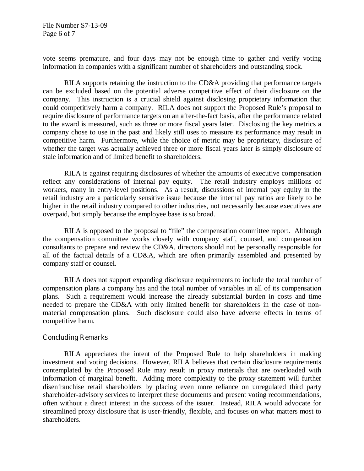File Number S7-13-09 Page 6 of 7

vote seems premature, and four days may not be enough time to gather and verify voting information in companies with a significant number of shareholders and outstanding stock.

 RILA supports retaining the instruction to the CD&A providing that performance targets can be excluded based on the potential adverse competitive effect of their disclosure on the company. This instruction is a crucial shield against disclosing proprietary information that could competitively harm a company. RILA does not support the Proposed Rule's proposal to require disclosure of performance targets on an after-the-fact basis, after the performance related to the award is measured, such as three or more fiscal years later. Disclosing the key metrics a company chose to use in the past and likely still uses to measure its performance may result in competitive harm. Furthermore, while the choice of metric may be proprietary, disclosure of whether the target was actually achieved three or more fiscal years later is simply disclosure of stale information and of limited benefit to shareholders.

 RILA is against requiring disclosures of whether the amounts of executive compensation reflect any considerations of internal pay equity. The retail industry employs millions of workers, many in entry-level positions. As a result, discussions of internal pay equity in the retail industry are a particularly sensitive issue because the internal pay ratios are likely to be higher in the retail industry compared to other industries, not necessarily because executives are overpaid, but simply because the employee base is so broad.

 RILA is opposed to the proposal to "file" the compensation committee report. Although the compensation committee works closely with company staff, counsel, and compensation consultants to prepare and review the CD&A, directors should not be personally responsible for all of the factual details of a CD&A, which are often primarily assembled and presented by company staff or counsel.

 RILA does not support expanding disclosure requirements to include the total number of compensation plans a company has and the total number of variables in all of its compensation plans. Such a requirement would increase the already substantial burden in costs and time needed to prepare the CD&A with only limited benefit for shareholders in the case of nonmaterial compensation plans. Such disclosure could also have adverse effects in terms of competitive harm.

## **Concluding Remarks**

 RILA appreciates the intent of the Proposed Rule to help shareholders in making investment and voting decisions. However, RILA believes that certain disclosure requirements contemplated by the Proposed Rule may result in proxy materials that are overloaded with information of marginal benefit. Adding more complexity to the proxy statement will further disenfranchise retail shareholders by placing even more reliance on unregulated third party shareholder-advisory services to interpret these documents and present voting recommendations, often without a direct interest in the success of the issuer. Instead, RILA would advocate for streamlined proxy disclosure that is user-friendly, flexible, and focuses on what matters most to shareholders.